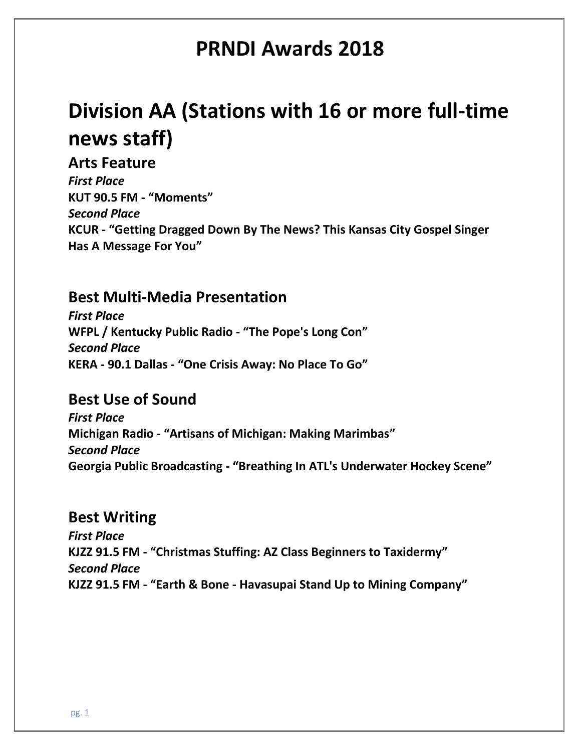# **Division AA (Stations with 16 or more full-time news staff)**

#### **Arts Feature**

*First Place* **KUT 90.5 FM - "Moments"** *Second Place* **KCUR - "Getting Dragged Down By The News? This Kansas City Gospel Singer Has A Message For You"**

### **Best Multi-Media Presentation**

*First Place* **WFPL / Kentucky Public Radio - "The Pope's Long Con"** *Second Place* **KERA - 90.1 Dallas - "One Crisis Away: No Place To Go"**

### **Best Use of Sound**

*First Place* **Michigan Radio - "Artisans of Michigan: Making Marimbas"** *Second Place* **Georgia Public Broadcasting - "Breathing In ATL's Underwater Hockey Scene"**

#### **Best Writing**

*First Place* **KJZZ 91.5 FM - "Christmas Stuffing: AZ Class Beginners to Taxidermy"** *Second Place* **KJZZ 91.5 FM - "Earth & Bone - Havasupai Stand Up to Mining Company"**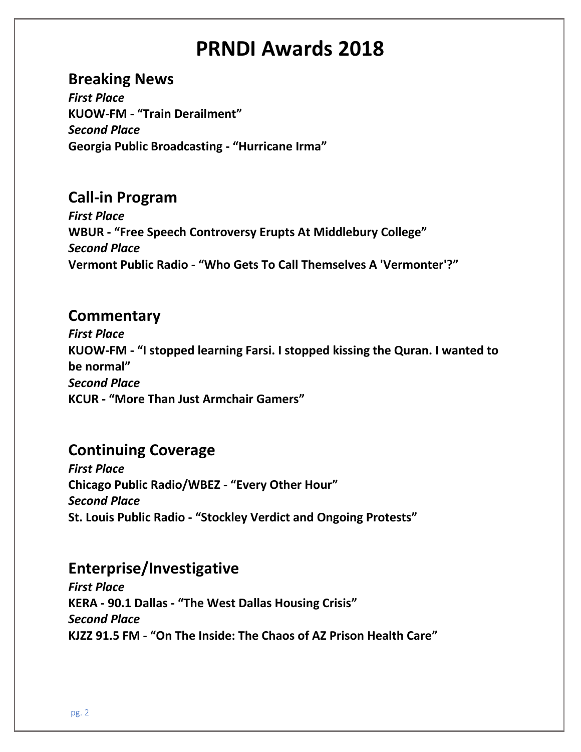#### **Breaking News**

*First Place* **KUOW-FM - "Train Derailment"** *Second Place* **Georgia Public Broadcasting - "Hurricane Irma"**

## **Call-in Program**

*First Place* **WBUR - "Free Speech Controversy Erupts At Middlebury College"** *Second Place* **Vermont Public Radio - "Who Gets To Call Themselves A 'Vermonter'?"**

### **Commentary**

*First Place* **KUOW-FM - "I stopped learning Farsi. I stopped kissing the Quran. I wanted to be normal"** *Second Place* **KCUR - "More Than Just Armchair Gamers"**

# **Continuing Coverage**

*First Place* **Chicago Public Radio/WBEZ - "Every Other Hour"** *Second Place* **St. Louis Public Radio - "Stockley Verdict and Ongoing Protests"**

### **Enterprise/Investigative**

*First Place* **KERA - 90.1 Dallas - "The West Dallas Housing Crisis"** *Second Place* **KJZZ 91.5 FM - "On The Inside: The Chaos of AZ Prison Health Care"**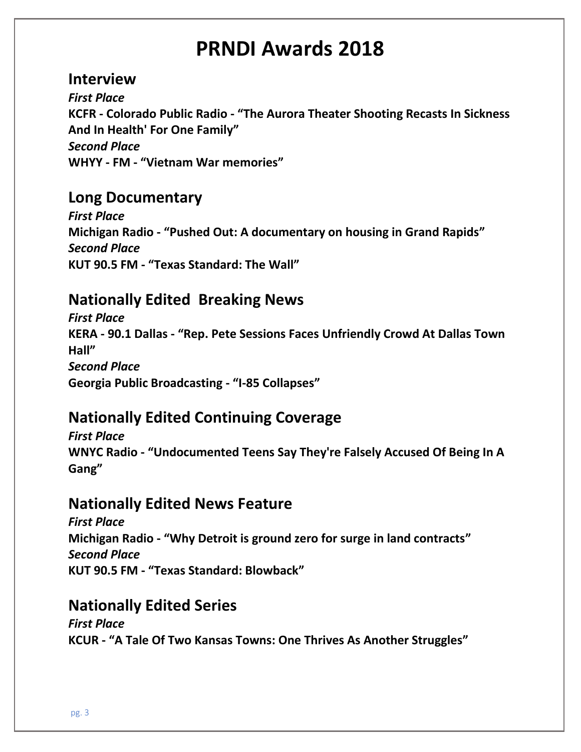#### **Interview**

*First Place* **KCFR - Colorado Public Radio - "The Aurora Theater Shooting Recasts In Sickness And In Health' For One Family"** *Second Place* **WHYY - FM - "Vietnam War memories"**

## **Long Documentary**

*First Place* **Michigan Radio - "Pushed Out: A documentary on housing in Grand Rapids"** *Second Place* **KUT 90.5 FM - "Texas Standard: The Wall"**

# **Nationally Edited Breaking News**

*First Place* **KERA - 90.1 Dallas - "Rep. Pete Sessions Faces Unfriendly Crowd At Dallas Town Hall"** *Second Place* **Georgia Public Broadcasting - "I-85 Collapses"**

# **Nationally Edited Continuing Coverage**

*First Place* **WNYC Radio - "Undocumented Teens Say They're Falsely Accused Of Being In A Gang"**

### **Nationally Edited News Feature**

*First Place* **Michigan Radio - "Why Detroit is ground zero for surge in land contracts"** *Second Place* **KUT 90.5 FM - "Texas Standard: Blowback"**

# **Nationally Edited Series**

*First Place* **KCUR - "A Tale Of Two Kansas Towns: One Thrives As Another Struggles"**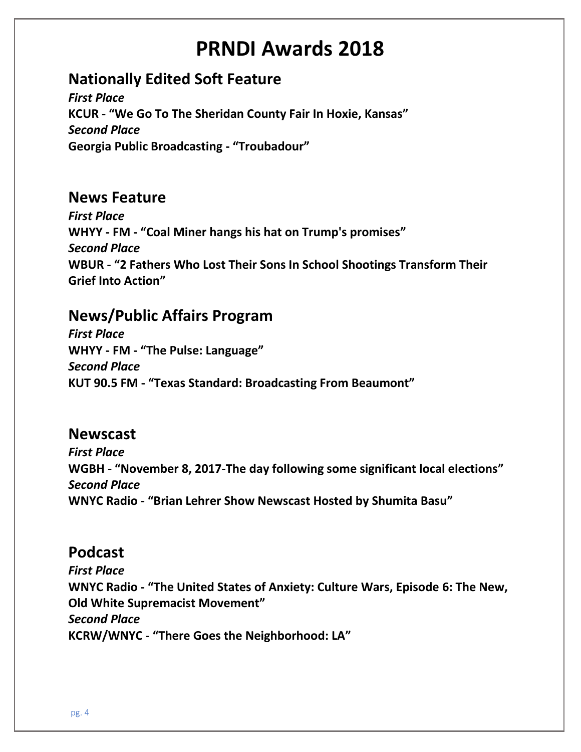# **Nationally Edited Soft Feature**

*First Place* **KCUR - "We Go To The Sheridan County Fair In Hoxie, Kansas"** *Second Place* **Georgia Public Broadcasting - "Troubadour"**

### **News Feature**

*First Place* **WHYY - FM - "Coal Miner hangs his hat on Trump's promises"** *Second Place* **WBUR - "2 Fathers Who Lost Their Sons In School Shootings Transform Their Grief Into Action"**

## **News/Public Affairs Program**

*First Place* **WHYY - FM - "The Pulse: Language"** *Second Place* **KUT 90.5 FM - "Texas Standard: Broadcasting From Beaumont"**

#### **Newscast**

*First Place* **WGBH - "November 8, 2017-The day following some significant local elections"** *Second Place* **WNYC Radio - "Brian Lehrer Show Newscast Hosted by Shumita Basu"**

### **Podcast**

*First Place* **WNYC Radio - "The United States of Anxiety: Culture Wars, Episode 6: The New, Old White Supremacist Movement"** *Second Place* **KCRW/WNYC - "There Goes the Neighborhood: LA"**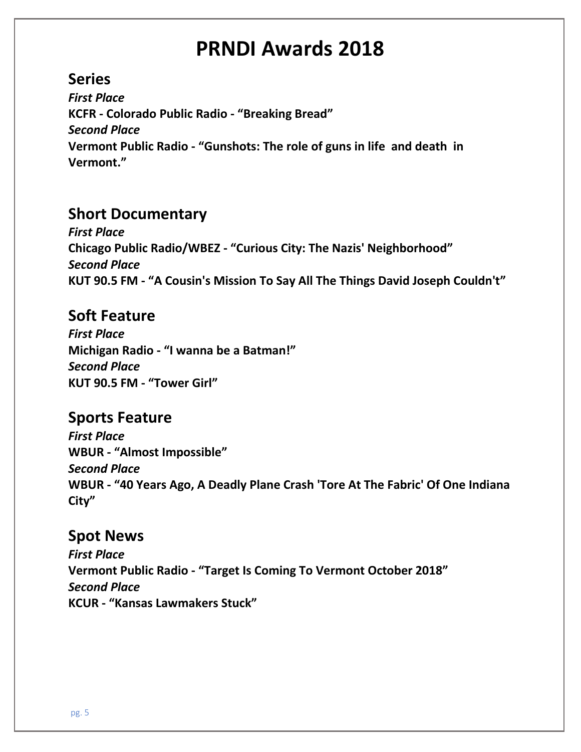# **Series**

*First Place* **KCFR - Colorado Public Radio - "Breaking Bread"** *Second Place* **Vermont Public Radio - "Gunshots: The role of guns in life and death in Vermont."**

# **Short Documentary**

*First Place* **Chicago Public Radio/WBEZ - "Curious City: The Nazis' Neighborhood"** *Second Place* **KUT 90.5 FM - "A Cousin's Mission To Say All The Things David Joseph Couldn't"**

## **Soft Feature**

*First Place* **Michigan Radio - "I wanna be a Batman!"** *Second Place* **KUT 90.5 FM - "Tower Girl"**

# **Sports Feature**

*First Place* **WBUR - "Almost Impossible"** *Second Place* **WBUR - "40 Years Ago, A Deadly Plane Crash 'Tore At The Fabric' Of One Indiana City"**

### **Spot News**

*First Place* **Vermont Public Radio - "Target Is Coming To Vermont October 2018"** *Second Place* **KCUR - "Kansas Lawmakers Stuck"**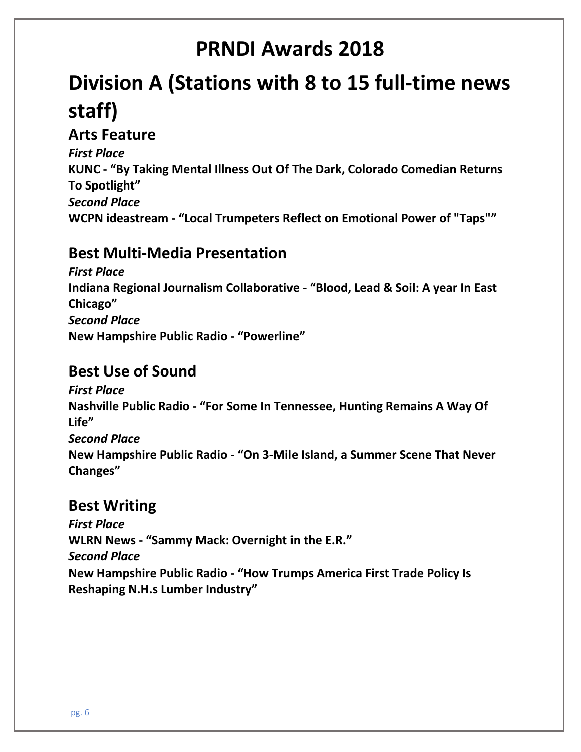# **Division A (Stations with 8 to 15 full-time news staff)**

## **Arts Feature**

*First Place* **KUNC - "By Taking Mental Illness Out Of The Dark, Colorado Comedian Returns To Spotlight"** *Second Place* **WCPN ideastream - "Local Trumpeters Reflect on Emotional Power of "Taps""**

## **Best Multi-Media Presentation**

*First Place* **Indiana Regional Journalism Collaborative - "Blood, Lead & Soil: A year In East Chicago"** *Second Place* **New Hampshire Public Radio - "Powerline"**

### **Best Use of Sound**

*First Place* **Nashville Public Radio - "For Some In Tennessee, Hunting Remains A Way Of Life"** *Second Place* **New Hampshire Public Radio - "On 3-Mile Island, a Summer Scene That Never Changes"**

# **Best Writing**

*First Place* **WLRN News - "Sammy Mack: Overnight in the E.R."** *Second Place* **New Hampshire Public Radio - "How Trumps America First Trade Policy Is Reshaping N.H.s Lumber Industry"**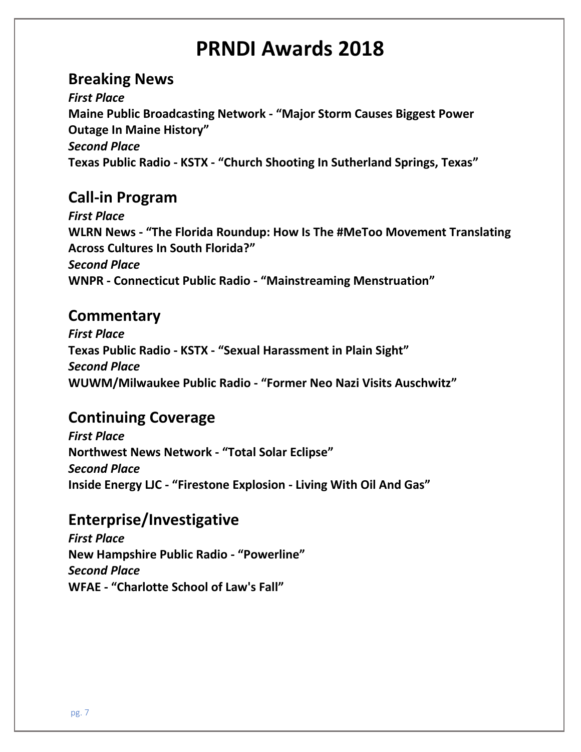### **Breaking News**

*First Place* **Maine Public Broadcasting Network - "Major Storm Causes Biggest Power Outage In Maine History"** *Second Place* **Texas Public Radio - KSTX - "Church Shooting In Sutherland Springs, Texas"**

## **Call-in Program**

*First Place* **WLRN News - "The Florida Roundup: How Is The #MeToo Movement Translating Across Cultures In South Florida?"** *Second Place* **WNPR - Connecticut Public Radio - "Mainstreaming Menstruation"**

#### **Commentary**

*First Place* **Texas Public Radio - KSTX - "Sexual Harassment in Plain Sight"** *Second Place* **WUWM/Milwaukee Public Radio - "Former Neo Nazi Visits Auschwitz"**

# **Continuing Coverage**

*First Place* **Northwest News Network - "Total Solar Eclipse"** *Second Place* **Inside Energy LJC - "Firestone Explosion - Living With Oil And Gas"**

# **Enterprise/Investigative**

*First Place* **New Hampshire Public Radio - "Powerline"** *Second Place* **WFAE - "Charlotte School of Law's Fall"**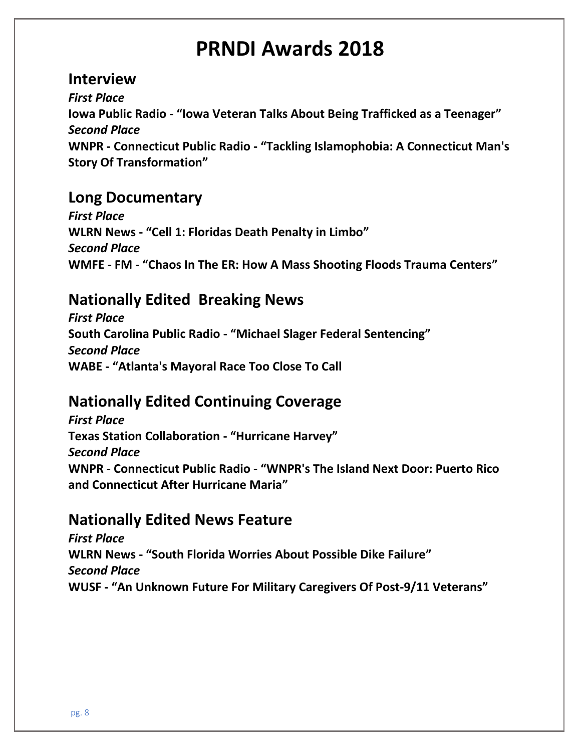#### **Interview**

*First Place* **Iowa Public Radio - "Iowa Veteran Talks About Being Trafficked as a Teenager"** *Second Place* **WNPR - Connecticut Public Radio - "Tackling Islamophobia: A Connecticut Man's Story Of Transformation"**

## **Long Documentary**

*First Place* **WLRN News - "Cell 1: Floridas Death Penalty in Limbo"** *Second Place* **WMFE - FM - "Chaos In The ER: How A Mass Shooting Floods Trauma Centers"**

## **Nationally Edited Breaking News**

*First Place* **South Carolina Public Radio - "Michael Slager Federal Sentencing"** *Second Place* **WABE - "Atlanta's Mayoral Race Too Close To Call**

# **Nationally Edited Continuing Coverage**

*First Place* **Texas Station Collaboration - "Hurricane Harvey"** *Second Place* **WNPR - Connecticut Public Radio - "WNPR's The Island Next Door: Puerto Rico and Connecticut After Hurricane Maria"**

# **Nationally Edited News Feature**

*First Place* **WLRN News - "South Florida Worries About Possible Dike Failure"** *Second Place* **WUSF - "An Unknown Future For Military Caregivers Of Post-9/11 Veterans"**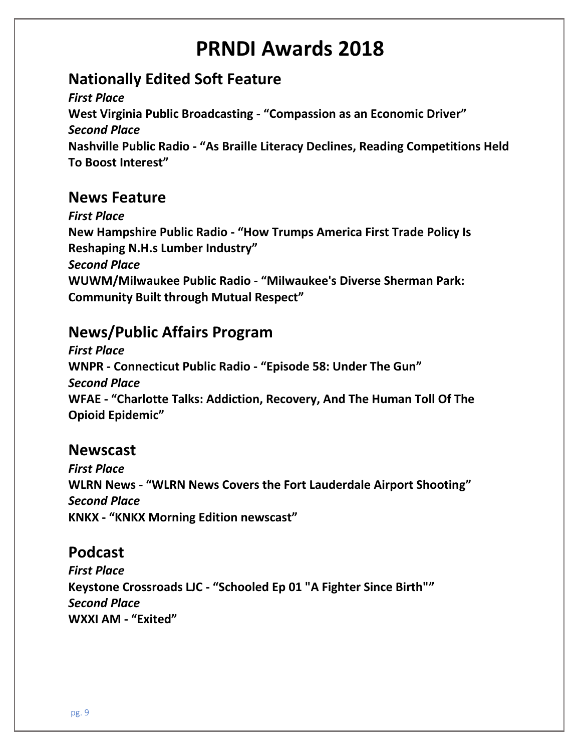# **Nationally Edited Soft Feature**

*First Place* **West Virginia Public Broadcasting - "Compassion as an Economic Driver"** *Second Place* **Nashville Public Radio - "As Braille Literacy Declines, Reading Competitions Held To Boost Interest"**

## **News Feature**

*First Place* **New Hampshire Public Radio - "How Trumps America First Trade Policy Is Reshaping N.H.s Lumber Industry"** *Second Place* **WUWM/Milwaukee Public Radio - "Milwaukee's Diverse Sherman Park: Community Built through Mutual Respect"**

# **News/Public Affairs Program**

*First Place* **WNPR - Connecticut Public Radio - "Episode 58: Under The Gun"** *Second Place* **WFAE - "Charlotte Talks: Addiction, Recovery, And The Human Toll Of The Opioid Epidemic"**

#### **Newscast**

*First Place* **WLRN News - "WLRN News Covers the Fort Lauderdale Airport Shooting"** *Second Place* **KNKX - "KNKX Morning Edition newscast"**

# **Podcast**

*First Place* **Keystone Crossroads LJC - "Schooled Ep 01 "A Fighter Since Birth""** *Second Place* **WXXI AM - "Exited"**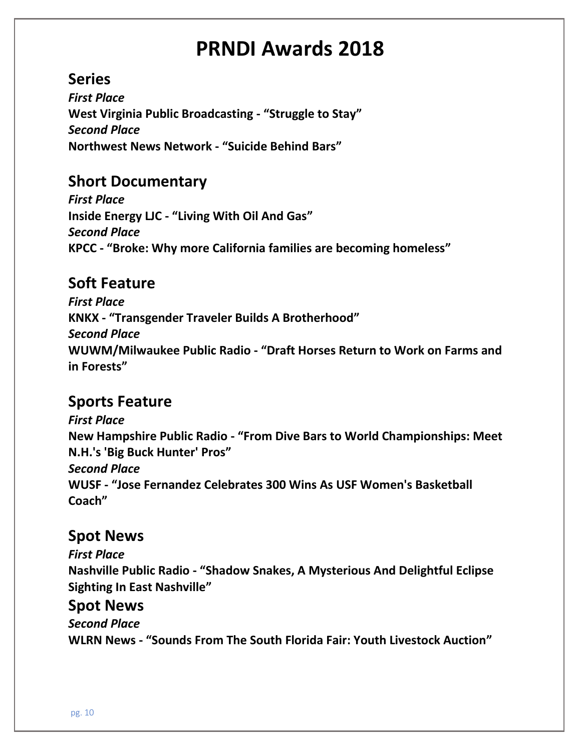## **Series**

*First Place* **West Virginia Public Broadcasting - "Struggle to Stay"** *Second Place* **Northwest News Network - "Suicide Behind Bars"**

## **Short Documentary**

*First Place* **Inside Energy LJC - "Living With Oil And Gas"** *Second Place* **KPCC - "Broke: Why more California families are becoming homeless"**

# **Soft Feature**

*First Place* **KNKX - "Transgender Traveler Builds A Brotherhood"** *Second Place* **WUWM/Milwaukee Public Radio - "Draft Horses Return to Work on Farms and in Forests"**

# **Sports Feature**

*First Place* **New Hampshire Public Radio - "From Dive Bars to World Championships: Meet N.H.'s 'Big Buck Hunter' Pros"** *Second Place* **WUSF - "Jose Fernandez Celebrates 300 Wins As USF Women's Basketball Coach"**

### **Spot News**

*First Place* **Nashville Public Radio - "Shadow Snakes, A Mysterious And Delightful Eclipse Sighting In East Nashville"**

#### **Spot News**

*Second Place* **WLRN News - "Sounds From The South Florida Fair: Youth Livestock Auction"**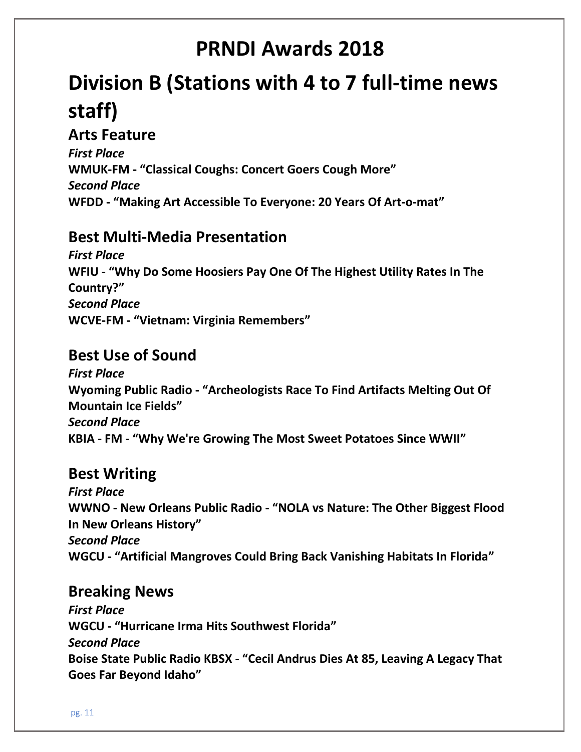# **Division B (Stations with 4 to 7 full-time news staff)**

#### **Arts Feature**

*First Place* **WMUK-FM - "Classical Coughs: Concert Goers Cough More"** *Second Place* **WFDD - "Making Art Accessible To Everyone: 20 Years Of Art-o-mat"**

### **Best Multi-Media Presentation**

*First Place* **WFIU - "Why Do Some Hoosiers Pay One Of The Highest Utility Rates In The Country?"** *Second Place* **WCVE-FM - "Vietnam: Virginia Remembers"**

### **Best Use of Sound**

*First Place* **Wyoming Public Radio - "Archeologists Race To Find Artifacts Melting Out Of Mountain Ice Fields"** *Second Place* **KBIA - FM - "Why We're Growing The Most Sweet Potatoes Since WWII"**

# **Best Writing**

*First Place* **WWNO - New Orleans Public Radio - "NOLA vs Nature: The Other Biggest Flood In New Orleans History"** *Second Place* **WGCU - "Artificial Mangroves Could Bring Back Vanishing Habitats In Florida"**

#### **Breaking News**

*First Place* **WGCU - "Hurricane Irma Hits Southwest Florida"** *Second Place* **Boise State Public Radio KBSX - "Cecil Andrus Dies At 85, Leaving A Legacy That Goes Far Beyond Idaho"**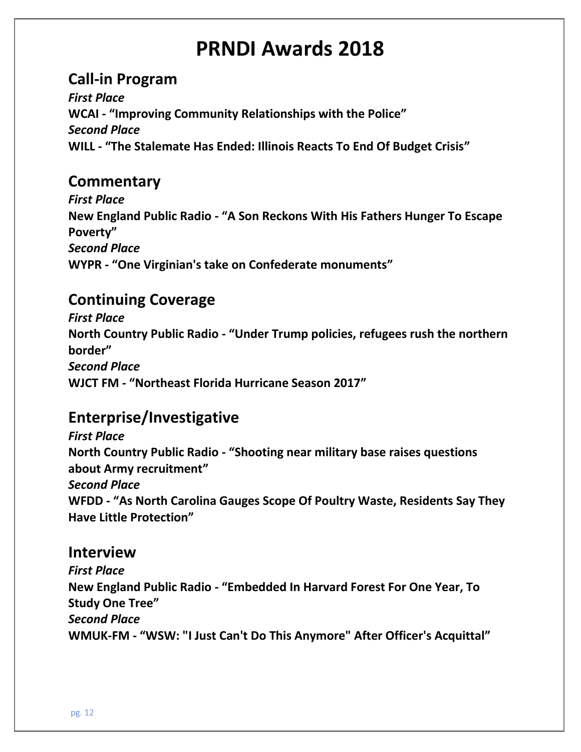## **Call-in Program**

*First Place* **WCAI - "Improving Community Relationships with the Police"** *Second Place* **WILL - "The Stalemate Has Ended: Illinois Reacts To End Of Budget Crisis"**

### **Commentary**

*First Place* **New England Public Radio - "A Son Reckons With His Fathers Hunger To Escape Poverty"** *Second Place* **WYPR - "One Virginian's take on Confederate monuments"**

## **Continuing Coverage**

*First Place* **North Country Public Radio - "Under Trump policies, refugees rush the northern border"** *Second Place* **WJCT FM - "Northeast Florida Hurricane Season 2017"**

# **Enterprise/Investigative**

*First Place* **North Country Public Radio - "Shooting near military base raises questions about Army recruitment"** *Second Place* **WFDD - "As North Carolina Gauges Scope Of Poultry Waste, Residents Say They Have Little Protection"**

#### **Interview**

*First Place* **New England Public Radio - "Embedded In Harvard Forest For One Year, To Study One Tree"** *Second Place* **WMUK-FM - "WSW: "I Just Can't Do This Anymore" After Officer's Acquittal"**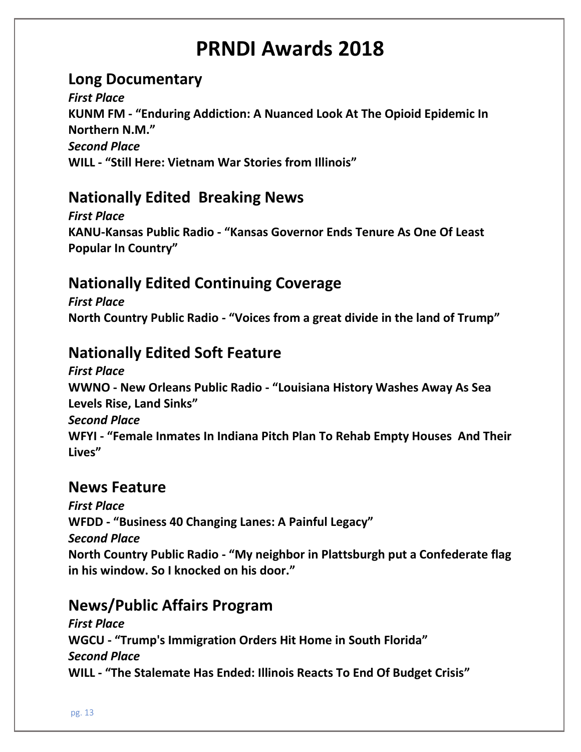## **Long Documentary**

*First Place* **KUNM FM - "Enduring Addiction: A Nuanced Look At The Opioid Epidemic In Northern N.M."** *Second Place* **WILL - "Still Here: Vietnam War Stories from Illinois"**

## **Nationally Edited Breaking News**

*First Place* **KANU-Kansas Public Radio - "Kansas Governor Ends Tenure As One Of Least Popular In Country"**

# **Nationally Edited Continuing Coverage**

*First Place* **North Country Public Radio - "Voices from a great divide in the land of Trump"**

# **Nationally Edited Soft Feature**

*First Place* **WWNO - New Orleans Public Radio - "Louisiana History Washes Away As Sea Levels Rise, Land Sinks"** *Second Place* **WFYI - "Female Inmates In Indiana Pitch Plan To Rehab Empty Houses And Their Lives"**

#### **News Feature**

*First Place* **WFDD - "Business 40 Changing Lanes: A Painful Legacy"** *Second Place* **North Country Public Radio - "My neighbor in Plattsburgh put a Confederate flag in his window. So I knocked on his door."**

# **News/Public Affairs Program**

*First Place* **WGCU - "Trump's Immigration Orders Hit Home in South Florida"** *Second Place* **WILL - "The Stalemate Has Ended: Illinois Reacts To End Of Budget Crisis"**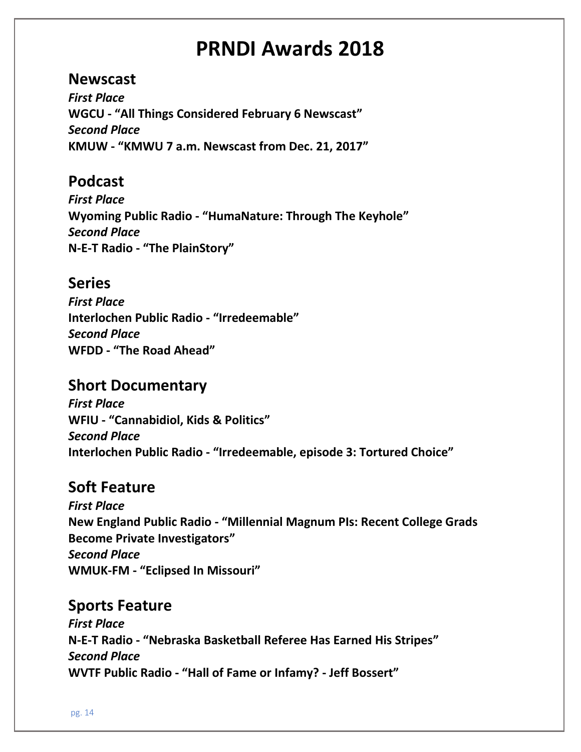#### **Newscast**

*First Place* **WGCU - "All Things Considered February 6 Newscast"** *Second Place* **KMUW - "KMWU 7 a.m. Newscast from Dec. 21, 2017"**

## **Podcast**

*First Place* **Wyoming Public Radio - "HumaNature: Through The Keyhole"** *Second Place* **N-E-T Radio - "The PlainStory"**

## **Series**

*First Place* **Interlochen Public Radio - "Irredeemable"** *Second Place* **WFDD - "The Road Ahead"**

# **Short Documentary**

*First Place* **WFIU - "Cannabidiol, Kids & Politics"** *Second Place* **Interlochen Public Radio - "Irredeemable, episode 3: Tortured Choice"**

# **Soft Feature**

*First Place* **New England Public Radio - "Millennial Magnum PIs: Recent College Grads Become Private Investigators"** *Second Place* **WMUK-FM - "Eclipsed In Missouri"**

### **Sports Feature**

*First Place* **N-E-T Radio - "Nebraska Basketball Referee Has Earned His Stripes"** *Second Place* **WVTF Public Radio - "Hall of Fame or Infamy? - Jeff Bossert"**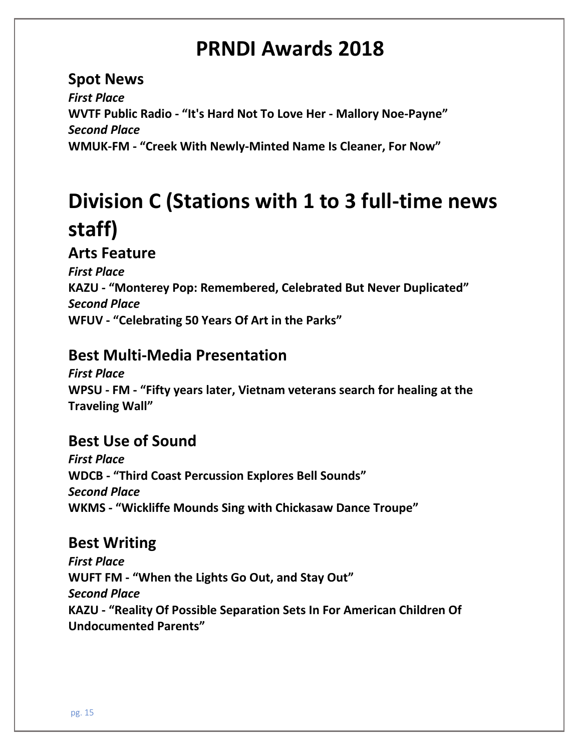**Spot News** *First Place* **WVTF Public Radio - "It's Hard Not To Love Her - Mallory Noe-Payne"** *Second Place* **WMUK-FM - "Creek With Newly-Minted Name Is Cleaner, For Now"**

# **Division C (Stations with 1 to 3 full-time news staff)**

## **Arts Feature**

*First Place* **KAZU - "Monterey Pop: Remembered, Celebrated But Never Duplicated"** *Second Place* **WFUV - "Celebrating 50 Years Of Art in the Parks"**

# **Best Multi-Media Presentation**

*First Place* **WPSU - FM - "Fifty years later, Vietnam veterans search for healing at the Traveling Wall"**

# **Best Use of Sound**

*First Place* **WDCB - "Third Coast Percussion Explores Bell Sounds"** *Second Place* **WKMS - "Wickliffe Mounds Sing with Chickasaw Dance Troupe"**

# **Best Writing**

*First Place* **WUFT FM - "When the Lights Go Out, and Stay Out"** *Second Place* **KAZU - "Reality Of Possible Separation Sets In For American Children Of Undocumented Parents"**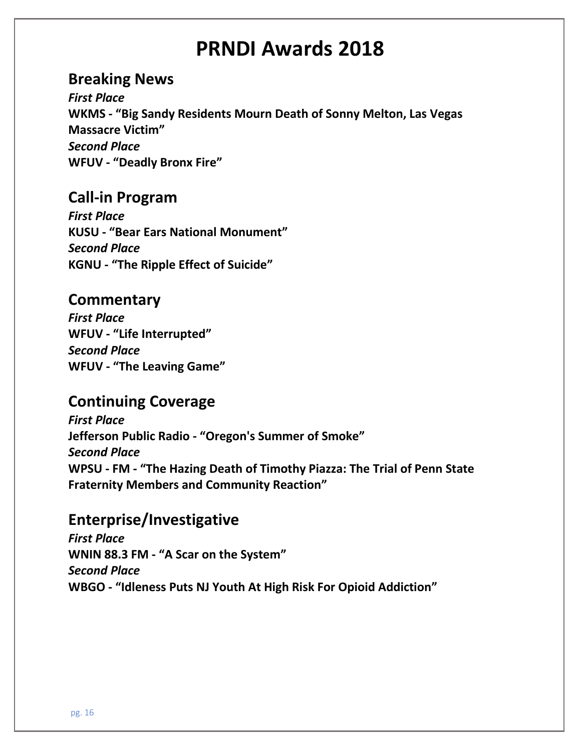### **Breaking News**

*First Place* **WKMS - "Big Sandy Residents Mourn Death of Sonny Melton, Las Vegas Massacre Victim"** *Second Place* **WFUV - "Deadly Bronx Fire"**

### **Call-in Program**

*First Place* **KUSU - "Bear Ears National Monument"** *Second Place* **KGNU - "The Ripple Effect of Suicide"**

#### **Commentary**

*First Place* **WFUV - "Life Interrupted"** *Second Place* **WFUV - "The Leaving Game"**

### **Continuing Coverage**

*First Place* **Jefferson Public Radio - "Oregon's Summer of Smoke"** *Second Place* **WPSU - FM - "The Hazing Death of Timothy Piazza: The Trial of Penn State Fraternity Members and Community Reaction"**

#### **Enterprise/Investigative**

*First Place* **WNIN 88.3 FM - "A Scar on the System"** *Second Place* **WBGO - "Idleness Puts NJ Youth At High Risk For Opioid Addiction"**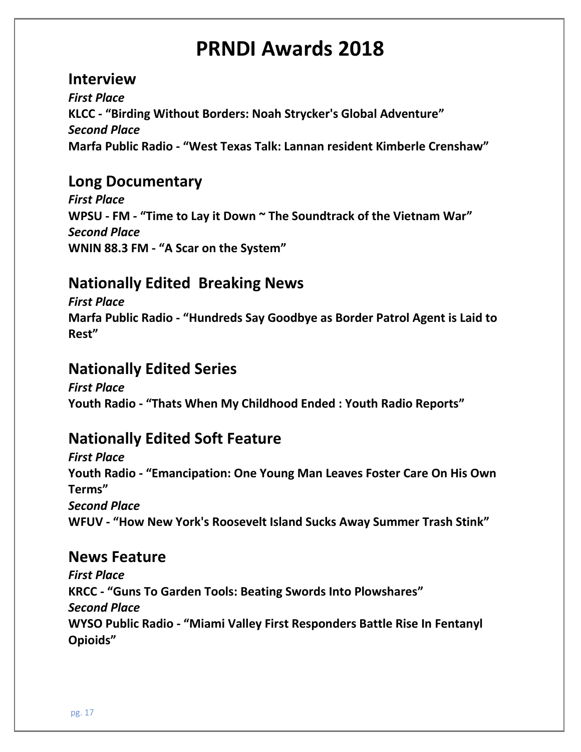#### **Interview**

*First Place* **KLCC - "Birding Without Borders: Noah Strycker's Global Adventure"** *Second Place* **Marfa Public Radio - "West Texas Talk: Lannan resident Kimberle Crenshaw"**

### **Long Documentary**

*First Place* **WPSU - FM - "Time to Lay it Down ~ The Soundtrack of the Vietnam War"** *Second Place* **WNIN 88.3 FM - "A Scar on the System"**

# **Nationally Edited Breaking News**

*First Place* **Marfa Public Radio - "Hundreds Say Goodbye as Border Patrol Agent is Laid to Rest"**

## **Nationally Edited Series**

*First Place* **Youth Radio - "Thats When My Childhood Ended : Youth Radio Reports"**

# **Nationally Edited Soft Feature**

*First Place* **Youth Radio - "Emancipation: One Young Man Leaves Foster Care On His Own Terms"** *Second Place* **WFUV - "How New York's Roosevelt Island Sucks Away Summer Trash Stink"**

### **News Feature**

*First Place* **KRCC - "Guns To Garden Tools: Beating Swords Into Plowshares"** *Second Place* **WYSO Public Radio - "Miami Valley First Responders Battle Rise In Fentanyl Opioids"**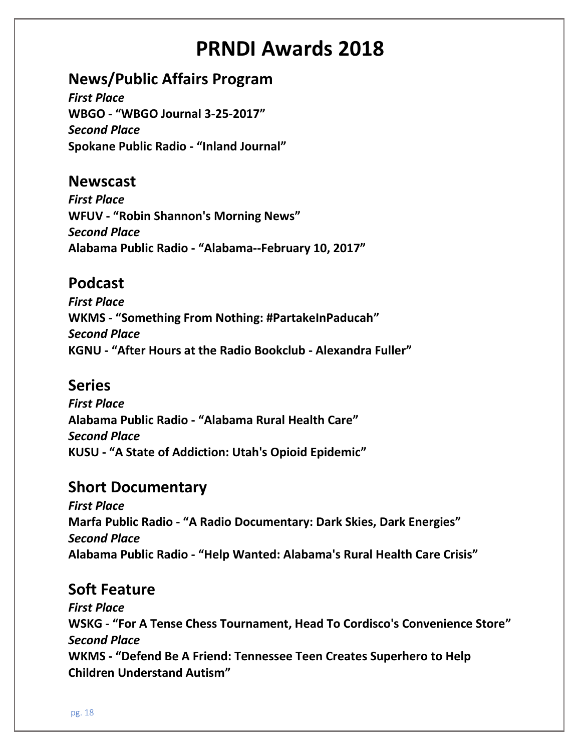# **News/Public Affairs Program**

*First Place* **WBGO - "WBGO Journal 3-25-2017"** *Second Place* **Spokane Public Radio - "Inland Journal"**

### **Newscast**

*First Place* **WFUV - "Robin Shannon's Morning News"** *Second Place* **Alabama Public Radio - "Alabama--February 10, 2017"**

# **Podcast**

*First Place* **WKMS - "Something From Nothing: #PartakeInPaducah"** *Second Place* **KGNU - "After Hours at the Radio Bookclub - Alexandra Fuller"**

### **Series**

*First Place* **Alabama Public Radio - "Alabama Rural Health Care"** *Second Place* **KUSU - "A State of Addiction: Utah's Opioid Epidemic"**

### **Short Documentary**

*First Place* **Marfa Public Radio - "A Radio Documentary: Dark Skies, Dark Energies"** *Second Place* **Alabama Public Radio - "Help Wanted: Alabama's Rural Health Care Crisis"**

### **Soft Feature**

*First Place* **WSKG - "For A Tense Chess Tournament, Head To Cordisco's Convenience Store"** *Second Place* **WKMS - "Defend Be A Friend: Tennessee Teen Creates Superhero to Help Children Understand Autism"**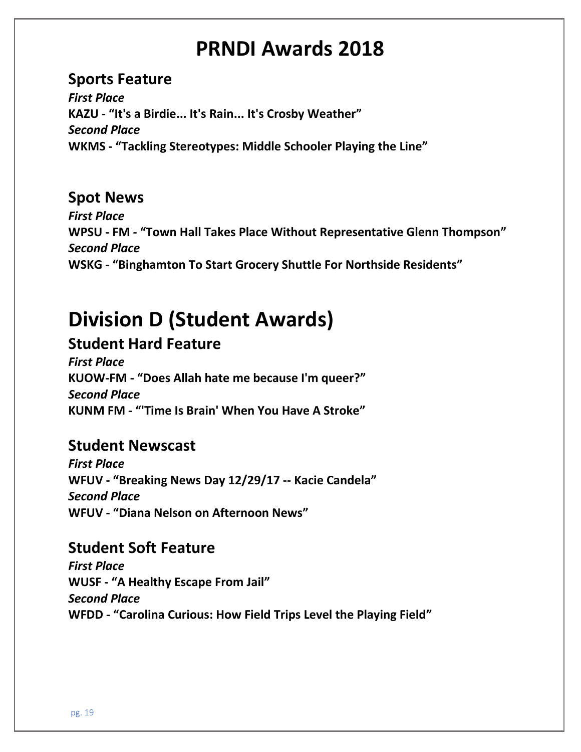## **Sports Feature**

*First Place* **KAZU - "It's a Birdie... It's Rain... It's Crosby Weather"** *Second Place* **WKMS - "Tackling Stereotypes: Middle Schooler Playing the Line"**

## **Spot News**

*First Place* **WPSU - FM - "Town Hall Takes Place Without Representative Glenn Thompson"** *Second Place* **WSKG - "Binghamton To Start Grocery Shuttle For Northside Residents"**

# **Division D (Student Awards)**

# **Student Hard Feature**

*First Place* **KUOW-FM - "Does Allah hate me because I'm queer?"** *Second Place* **KUNM FM - "'Time Is Brain' When You Have A Stroke"**

### **Student Newscast**

*First Place* **WFUV - "Breaking News Day 12/29/17 -- Kacie Candela"** *Second Place* **WFUV - "Diana Nelson on Afternoon News"**

### **Student Soft Feature**

*First Place* **WUSF - "A Healthy Escape From Jail"** *Second Place* **WFDD - "Carolina Curious: How Field Trips Level the Playing Field"**